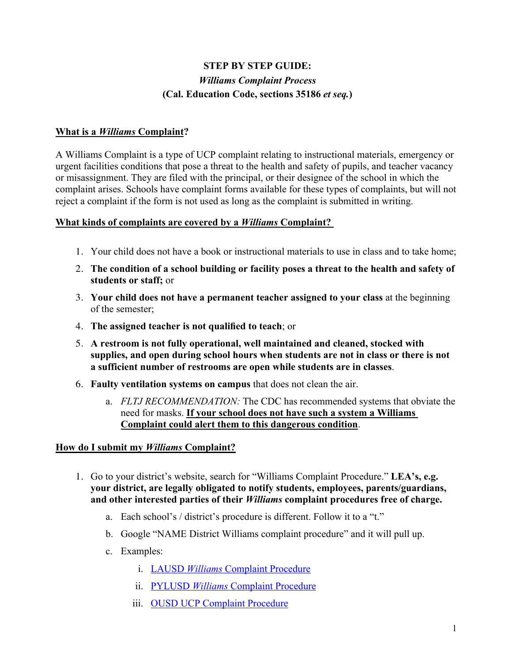# **STEP BY STEP GUIDE:** *Williams Complaint Process* **(Cal. Education Code, sections 35186** *et seq.***)**

### **What is a** *Williams* **Complaint?**

A Williams Complaint is a type of UCP complaint relating to instructional materials, emergency or urgent facilities conditions that pose a threat to the health and safety of pupils, and teacher vacancy or misassignment. They are filed with the principal, or their designee of the school in which the complaint arises. Schools have complaint forms available for these types of complaints, but will not reject a complaint if the form is not used as long as the complaint is submitted in writing.

#### **What kinds of complaints are covered by a** *Williams* **Complaint?**

- 1. Your child does not have a book or instructional materials to use in class and to take home;
- 2. **The condition of a school building or facility poses a threat to the health and safety of students or staff;** or
- 3. **Your child does not have a permanent teacher assigned to your class** at the beginning of the semester;
- 4. **The assigned teacher is not qualified to teach**; or
- 5. **A restroom is not fully operational, well maintained and cleaned, stocked with supplies, and open during school hours when students are not in class or there is not a sufficient number of restrooms are open while students are in classes**.
- 6. **Faulty ventilation systems on campus** that does not clean the air.
	- a. *FLTJ RECOMMENDATION:* The CDC has recommended systems that obviate the need for masks. **If your school does not have such a system a Williams Complaint could alert them to this dangerous condition**.

#### **How do I submit my** *Williams* **Complaint?**

- 1. Go to your district's website, search for "Williams Complaint Procedure." **LEA's, e.g. your district, are legally obligated to notify students, employees, parents/guardians, and other interested parties of their** *Williams* **complaint procedures free of charge.** 
	- a. Each school's / district's procedure is different. Follow it to a "t."
	- b. Google "NAME District Williams complaint procedure" and it will pull up.
	- c. Examples:
		- i. LAUSD *Williams* Complaint Procedure
		- ii. PYLUSD *Williams* Complaint Procedure
		- iii. OUSD UCP Complaint Procedure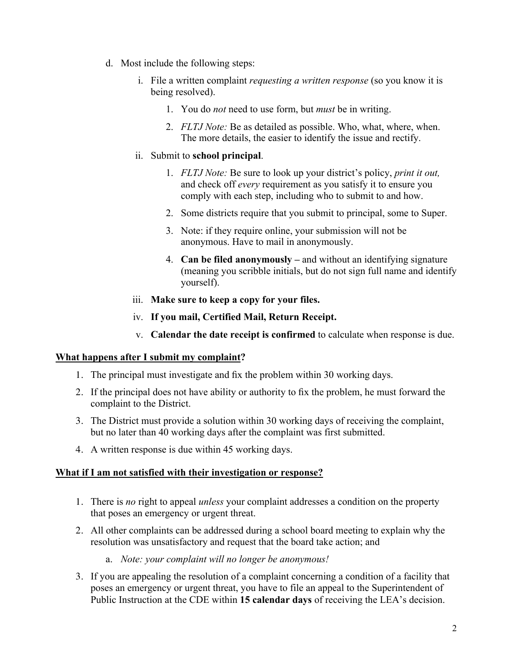- d. Most include the following steps:
	- i. File a written complaint *requesting a written response* (so you know it is being resolved).
		- 1. You do *not* need to use form, but *must* be in writing.
		- 2. *FLTJ Note:* Be as detailed as possible. Who, what, where, when. The more details, the easier to identify the issue and rectify.

#### ii. Submit to **school principal**.

- 1. *FLTJ Note:* Be sure to look up your district's policy, *print it out,*  and check off *every* requirement as you satisfy it to ensure you comply with each step, including who to submit to and how.
- 2. Some districts require that you submit to principal, some to Super.
- 3. Note: if they require online, your submission will not be anonymous. Have to mail in anonymously.
- 4. **Can be filed anonymously –** and without an identifying signature (meaning you scribble initials, but do not sign full name and identify yourself).
- iii. **Make sure to keep a copy for your files.**
- iv. **If you mail, Certified Mail, Return Receipt.**
- v. **Calendar the date receipt is confirmed** to calculate when response is due.

#### **What happens after I submit my complaint?**

- 1. The principal must investigate and fix the problem within 30 working days.
- 2. If the principal does not have ability or authority to fix the problem, he must forward the complaint to the District.
- 3. The District must provide a solution within 30 working days of receiving the complaint, but no later than 40 working days after the complaint was first submitted.
- 4. A written response is due within 45 working days.

#### **What if I am not satisfied with their investigation or response?**

- 1. There is *no* right to appeal *unless* your complaint addresses a condition on the property that poses an emergency or urgent threat.
- 2. All other complaints can be addressed during a school board meeting to explain why the resolution was unsatisfactory and request that the board take action; and
	- a. *Note: your complaint will no longer be anonymous!*
- 3. If you are appealing the resolution of a complaint concerning a condition of a facility that poses an emergency or urgent threat, you have to file an appeal to the Superintendent of Public Instruction at the CDE within **15 calendar days** of receiving the LEA's decision.